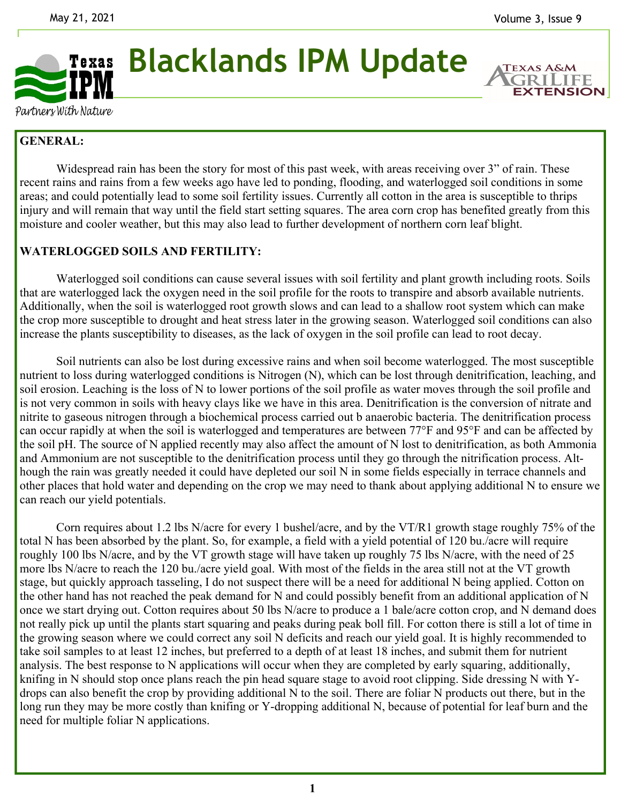

**Blacklands IPM Update** 

**EXTENSION** 

Partners With Nature

# **GENERAL:**

Widespread rain has been the story for most of this past week, with areas receiving over 3" of rain. These recent rains and rains from a few weeks ago have led to ponding, flooding, and waterlogged soil conditions in some areas; and could potentially lead to some soil fertility issues. Currently all cotton in the area is susceptible to thrips injury and will remain that way until the field start setting squares. The area corn crop has benefited greatly from this moisture and cooler weather, but this may also lead to further development of northern corn leaf blight.

### **WATERLOGGED SOILS AND FERTILITY:**

Waterlogged soil conditions can cause several issues with soil fertility and plant growth including roots. Soils that are waterlogged lack the oxygen need in the soil profile for the roots to transpire and absorb available nutrients. Additionally, when the soil is waterlogged root growth slows and can lead to a shallow root system which can make the crop more susceptible to drought and heat stress later in the growing season. Waterlogged soil conditions can also increase the plants susceptibility to diseases, as the lack of oxygen in the soil profile can lead to root decay.

 Soil nutrients can also be lost during excessive rains and when soil become waterlogged. The most susceptible nutrient to loss during waterlogged conditions is Nitrogen (N), which can be lost through denitrification, leaching, and soil erosion. Leaching is the loss of N to lower portions of the soil profile as water moves through the soil profile and is not very common in soils with heavy clays like we have in this area. Denitrification is the conversion of nitrate and nitrite to gaseous nitrogen through a biochemical process carried out b anaerobic bacteria. The denitrification process can occur rapidly at when the soil is waterlogged and temperatures are between 77°F and 95°F and can be affected by the soil pH. The source of N applied recently may also affect the amount of N lost to denitrification, as both Ammonia and Ammonium are not susceptible to the denitrification process until they go through the nitrification process. Although the rain was greatly needed it could have depleted our soil N in some fields especially in terrace channels and other places that hold water and depending on the crop we may need to thank about applying additional N to ensure we can reach our yield potentials.

 Corn requires about 1.2 lbs N/acre for every 1 bushel/acre, and by the VT/R1 growth stage roughly 75% of the total N has been absorbed by the plant. So, for example, a field with a yield potential of 120 bu./acre will require roughly 100 lbs N/acre, and by the VT growth stage will have taken up roughly 75 lbs N/acre, with the need of 25 more lbs N/acre to reach the 120 bu./acre yield goal. With most of the fields in the area still not at the VT growth stage, but quickly approach tasseling, I do not suspect there will be a need for additional N being applied. Cotton on the other hand has not reached the peak demand for N and could possibly benefit from an additional application of N once we start drying out. Cotton requires about 50 lbs N/acre to produce a 1 bale/acre cotton crop, and N demand does not really pick up until the plants start squaring and peaks during peak boll fill. For cotton there is still a lot of time in the growing season where we could correct any soil N deficits and reach our yield goal. It is highly recommended to take soil samples to at least 12 inches, but preferred to a depth of at least 18 inches, and submit them for nutrient analysis. The best response to N applications will occur when they are completed by early squaring, additionally, knifing in N should stop once plans reach the pin head square stage to avoid root clipping. Side dressing N with Ydrops can also benefit the crop by providing additional N to the soil. There are foliar N products out there, but in the long run they may be more costly than knifing or Y-dropping additional N, because of potential for leaf burn and the need for multiple foliar N applications.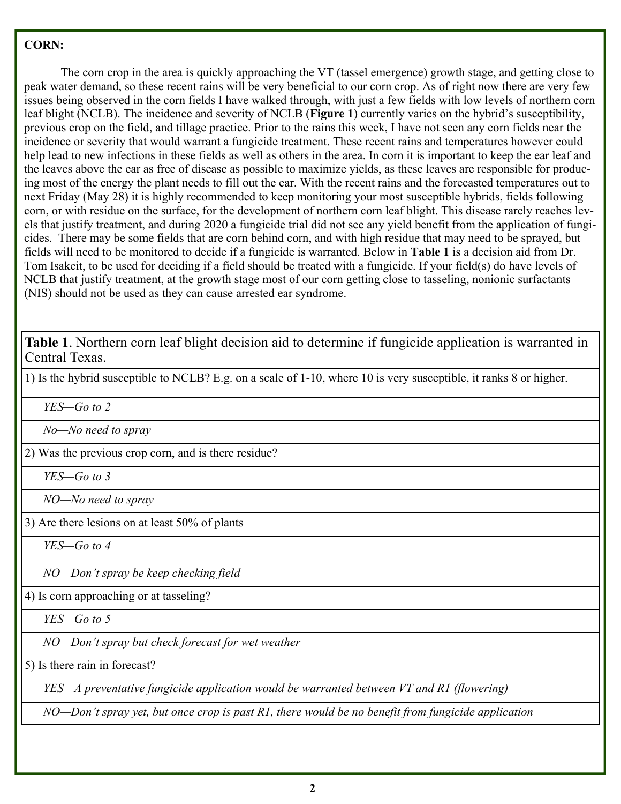## **CORN:**

 The corn crop in the area is quickly approaching the VT (tassel emergence) growth stage, and getting close to peak water demand, so these recent rains will be very beneficial to our corn crop. As of right now there are very few issues being observed in the corn fields I have walked through, with just a few fields with low levels of northern corn leaf blight (NCLB). The incidence and severity of NCLB (**Figure 1**) currently varies on the hybrid's susceptibility, previous crop on the field, and tillage practice. Prior to the rains this week, I have not seen any corn fields near the incidence or severity that would warrant a fungicide treatment. These recent rains and temperatures however could help lead to new infections in these fields as well as others in the area. In corn it is important to keep the ear leaf and the leaves above the ear as free of disease as possible to maximize yields, as these leaves are responsible for producing most of the energy the plant needs to fill out the ear. With the recent rains and the forecasted temperatures out to next Friday (May 28) it is highly recommended to keep monitoring your most susceptible hybrids, fields following corn, or with residue on the surface, for the development of northern corn leaf blight. This disease rarely reaches levels that justify treatment, and during 2020 a fungicide trial did not see any yield benefit from the application of fungicides. There may be some fields that are corn behind corn, and with high residue that may need to be sprayed, but fields will need to be monitored to decide if a fungicide is warranted. Below in **Table 1** is a decision aid from Dr. Tom Isakeit, to be used for deciding if a field should be treated with a fungicide. If your field(s) do have levels of NCLB that justify treatment, at the growth stage most of our corn getting close to tasseling, nonionic surfactants (NIS) should not be used as they can cause arrested ear syndrome.

**Table 1**. Northern corn leaf blight decision aid to determine if fungicide application is warranted in Central Texas.

1) Is the hybrid susceptible to NCLB? E.g. on a scale of 1-10, where 10 is very susceptible, it ranks 8 or higher.

 *YES—Go to 2* 

 *No—No need to spray* 

2) Was the previous crop corn, and is there residue?

 *YES—Go to 3* 

 *NO—No need to spray* 

3) Are there lesions on at least 50% of plants

 *YES—Go to 4* 

 *NO—Don't spray be keep checking field* 

4) Is corn approaching or at tasseling?

 *YES—Go to 5* 

 *NO—Don't spray but check forecast for wet weather* 

5) Is there rain in forecast?

 *YES—A preventative fungicide application would be warranted between VT and R1 (flowering)* 

 *NO—Don't spray yet, but once crop is past R1, there would be no benefit from fungicide application*